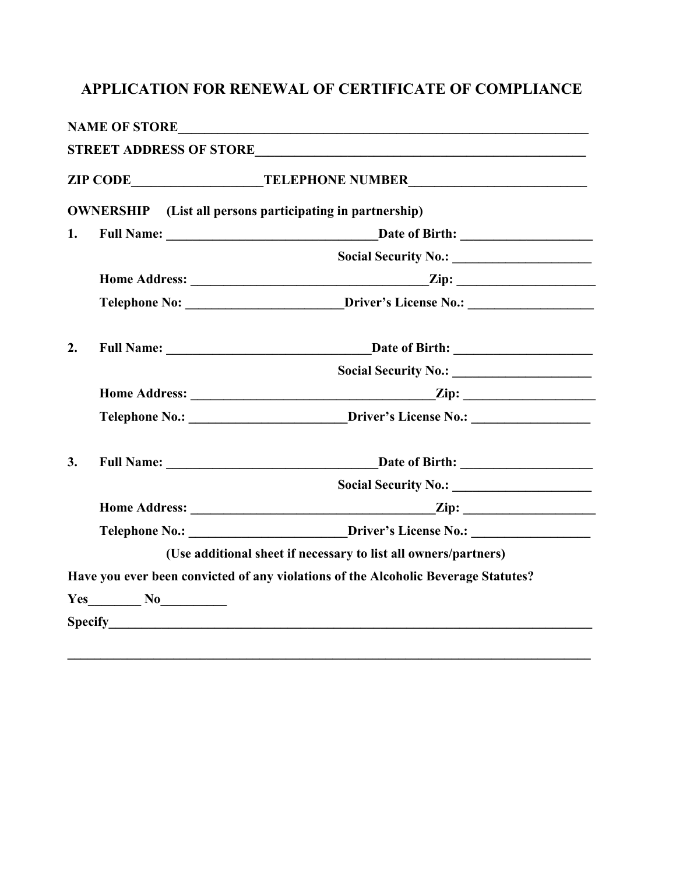## **APPLICATION FOR RENEWAL OF CERTIFICATE OF COMPLIANCE**

|    |  | ZIP CODE__________________________TELEPHONE NUMBER______________________________   |
|----|--|------------------------------------------------------------------------------------|
|    |  | <b>OWNERSHIP</b> (List all persons participating in partnership)                   |
| 1. |  | Full Name: Date of Birth:                                                          |
|    |  |                                                                                    |
|    |  | $\sum$ ip:                                                                         |
|    |  | Telephone No: _________________________Driver's License No.: ____________________  |
| 2. |  |                                                                                    |
|    |  |                                                                                    |
|    |  |                                                                                    |
|    |  | Telephone No.: <u>Driver's License No.:</u>                                        |
| 3. |  |                                                                                    |
|    |  |                                                                                    |
|    |  |                                                                                    |
|    |  | Telephone No.: _________________________Driver's License No.: ___________________  |
|    |  | (Use additional sheet if necessary to list all owners/partners)                    |
|    |  | Have you ever been convicted of any violations of the Alcoholic Beverage Statutes? |
|    |  |                                                                                    |
|    |  |                                                                                    |